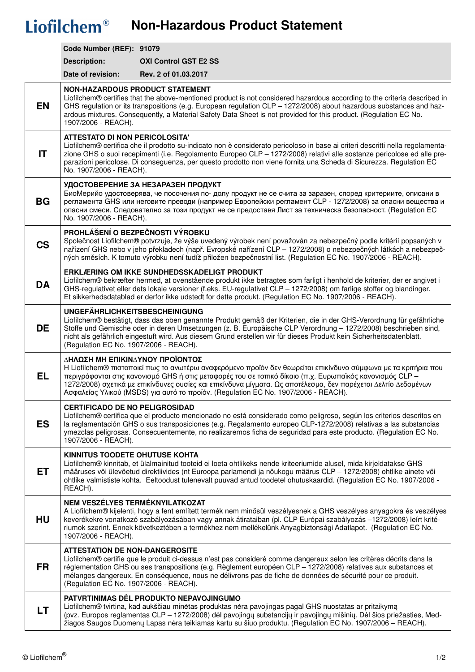## Liofilchem<sup>®</sup> Non-Hazardous Product Statement

|           | Code Number (REF): 91079                                                                                                                                                                                                                                                                                                                                                                                                                                              |                              |  |  |
|-----------|-----------------------------------------------------------------------------------------------------------------------------------------------------------------------------------------------------------------------------------------------------------------------------------------------------------------------------------------------------------------------------------------------------------------------------------------------------------------------|------------------------------|--|--|
|           | <b>Description:</b>                                                                                                                                                                                                                                                                                                                                                                                                                                                   | <b>OXI Control GST E2 SS</b> |  |  |
|           | Date of revision:                                                                                                                                                                                                                                                                                                                                                                                                                                                     | Rev. 2 of 01.03.2017         |  |  |
| <b>EN</b> | <b>NON-HAZARDOUS PRODUCT STATEMENT</b><br>Liofilchem® certifies that the above-mentioned product is not considered hazardous according to the criteria described in<br>GHS regulation or its transpositions (e.g. European regulation CLP - 1272/2008) about hazardous substances and haz-<br>ardous mixtures. Consequently, a Material Safety Data Sheet is not provided for this product. (Regulation EC No.<br>1907/2006 - REACH).                                 |                              |  |  |
| IT        | <b>ATTESTATO DI NON PERICOLOSITA'</b><br>Liofilchem® certifica che il prodotto su-indicato non è considerato pericoloso in base ai criteri descritti nella regolamenta-<br>zione GHS o suoi recepimenti (i.e. Regolamento Europeo CLP - 1272/2008) relativi alle sostanze pericolose ed alle pre-<br>parazioni pericolose. Di conseguenza, per questo prodotto non viene fornita una Scheda di Sicurezza. Regulation EC<br>No. 1907/2006 - REACH).                    |                              |  |  |
| <b>BG</b> | УДОСТОВЕРЕНИЕ ЗА НЕЗАРАЗЕН ПРОДУКТ<br>БиоМерийо удостоверява, че посочения по- долу продукт не се счита за заразен, според критериите, описани в<br>регламента GHS или неговите преводи (например Европейски регламент CLP - 1272/2008) за опасни вещества и<br>опасни смеси. Следователно за този продукт не се предоставя Лист за техническа безопасност. (Regulation EC<br>No. 1907/2006 - REACH).                                                                 |                              |  |  |
| <b>CS</b> | PROHLÁŠENÍ O BEZPEČNOSTI VÝROBKU<br>Společnost Liofilchem® potvrzuje, že výše uvedený výrobek není považován za nebezpečný podle kritérií popsaných v<br>nařízení GHS nebo v jeho překladech (např. Evropské nařízení CLP – 1272/2008) o nebezpečných látkách a nebezpeč-<br>ných směsích. K tomuto výrobku není tudíž přiložen bezpečnostní list. (Regulation EC No. 1907/2006 - REACH).                                                                             |                              |  |  |
| <b>DA</b> | ERKLÆRING OM IKKE SUNDHEDSSKADELIGT PRODUKT<br>Liofilchem® bekræfter hermed, at ovenstående produkt ikke betragtes som farligt i henhold de kriterier, der er angivet i<br>GHS-regulativet eller dets lokale versioner (f.eks. EU-regulativet CLP - 1272/2008) om farlige stoffer og blandinger.<br>Et sikkerhedsdatablad er derfor ikke udstedt for dette produkt. (Regulation EC No. 1907/2006 - REACH).                                                            |                              |  |  |
| <b>DE</b> | <b>UNGEFÄHRLICHKEITSBESCHEINIGUNG</b><br>Liofilchem® bestätigt, dass das oben genannte Produkt gemäß der Kriterien, die in der GHS-Verordnung für gefährliche<br>Stoffe und Gemische oder in deren Umsetzungen (z. B. Europäische CLP Verordnung - 1272/2008) beschrieben sind,<br>nicht als gefährlich eingestuft wird. Aus diesem Grund erstellen wir für dieses Produkt kein Sicherheitsdatenblatt.<br>(Regulation EC No. 1907/2006 - REACH).                      |                              |  |  |
| <b>EL</b> | ΔΗΛΩΣΗ ΜΗ ΕΠΙΚΙΝΔΥΝΟΥ ΠΡΟΪΟΝΤΟΣ<br>H Liofilchem® πιστοποιεί πως το ανωτέρω αναφερόμενο προϊόν δεν θεωρείται επικίνδυνο σύμφωνα με τα κριτήρια που<br>περιγράφονται στις κανονισμό GHS ή στις μεταφορές του σε τοπικό δίκαιο (π.χ. Ευρωπαϊκός κανονισμός CLP -<br>1272/2008) σχετικά με επικίνδυνες ουσίες και επικίνδυνα μίγματα. Ως αποτέλεσμα, δεν παρέχεται Δελτίο Δεδομένων<br>Ασφαλείας Υλικού (MSDS) για αυτό το προϊόν. (Regulation EC No. 1907/2006 - REACH). |                              |  |  |
| <b>ES</b> | <b>CERTIFICADO DE NO PELIGROSIDAD</b><br>Liofilchem® certifica que el producto mencionado no está considerado como peligroso, según los criterios descritos en<br>la reglamentación GHS o sus transposiciones (e.g. Regalamento europeo CLP-1272/2008) relativas a las substancias<br>ymezclas peligrosas. Consecuentemente, no realizaremos ficha de seguridad para este producto. (Regulation EC No.<br>1907/2006 - REACH).                                         |                              |  |  |
| <b>ET</b> | KINNITUS TOODETE OHUTUSE KOHTA<br>Liofilchem® kinnitab, et ülalmainitud tooteid ei loeta ohtlikeks nende kriteeriumide alusel, mida kirjeldatakse GHS<br>määruses või ülevõetud direktiivides (nt Euroopa parlamendi ja nõukogu määrus CLP - 1272/2008) ohtlike ainete või<br>ohtlike valmististe kohta. Eeltoodust tulenevalt puuvad antud toodetel ohutuskaardid. (Regulation EC No. 1907/2006 -<br>REACH).                                                         |                              |  |  |
| HU        | NEM VESZÉLYES TERMÉKNYILATKOZAT<br>A Liofilchem® kijelenti, hogy a fent említett termék nem minősül veszélyesnek a GHS veszélyes anyagokra és veszélyes<br>keverékekre vonatkozó szabályozásában vagy annak átirataiban (pl. CLP Európai szabályozás -1272/2008) leírt krité-<br>riumok szerint. Ennek következtében a termékhez nem mellékelünk Anyagbiztonsági Adatlapot. (Regulation EC No.<br>1907/2006 - REACH).                                                 |                              |  |  |
| <b>FR</b> | <b>ATTESTATION DE NON-DANGEROSITE</b><br>Liofilchem® certifie que le produit ci-dessus n'est pas consideré comme dangereux selon les critères décrits dans la<br>réglementation GHS ou ses transpositions (e.g. Règlement européen CLP - 1272/2008) relatives aux substances et<br>mélanges dangereux. En conséquence, nous ne délivrons pas de fiche de données de sécurité pour ce produit.<br>(Regulation EC No. 1907/2006 - REACH).                               |                              |  |  |
| LT        | PATVRTINIMAS DEL PRODUKTO NEPAVOJINGUMO<br>Liofilchem® tvirtina, kad aukščiau minėtas produktas nėra pavojingas pagal GHS nuostatas ar pritaikymą<br>(pvz. Europos reglamentas CLP - 1272/2008) dėl pavojingų substancijų ir pavojingų mišinių. Dėl šios priežasties, Med-<br>žiagos Saugos Duomenų Lapas nėra teikiamas kartu su šiuo produktu. (Regulation EC No. 1907/2006 – REACH).                                                                               |                              |  |  |